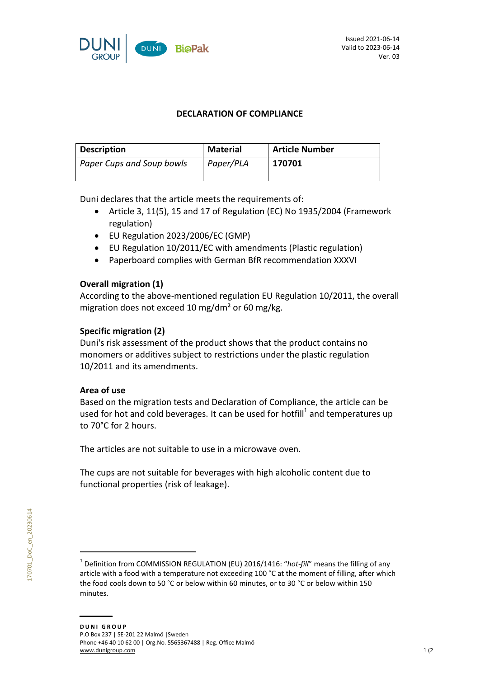

## **DECLARATION OF COMPLIANCE**

| <b>Description</b>               | <b>Material</b> | <b>Article Number</b> |
|----------------------------------|-----------------|-----------------------|
| <b>Paper Cups and Soup bowls</b> | Paper/PLA       | 170701                |

Duni declares that the article meets the requirements of:

- Article 3, 11(5), 15 and 17 of Regulation (EC) No 1935/2004 (Framework regulation)
- EU Regulation 2023/2006/EC (GMP)
- EU Regulation 10/2011/EC with amendments (Plastic regulation)
- Paperboard complies with German BfR recommendation XXXVI

### **Overall migration (1)**

According to the above-mentioned regulation EU Regulation 10/2011, the overall migration does not exceed 10 mg/dm² or 60 mg/kg.

#### **Specific migration (2)**

Duni's risk assessment of the product shows that the product contains no monomers or additives subject to restrictions under the plastic regulation 10/2011 and its amendments.

#### **Area of use**

Based on the migration tests and Declaration of Compliance, the article can be used for hot and cold beverages. It can be used for hotfill<sup>1</sup> and temperatures up to 70°C for 2 hours.

The articles are not suitable to use in a microwave oven.

The cups are not suitable for beverages with high alcoholic content due to functional properties (risk of leakage).

<sup>&</sup>lt;sup>1</sup> Definition from COMMISSION REGULATION (EU) 2016/1416: "hot-fill" means the filling of any article with a food with a temperature not exceeding 100 °C at the moment of filling, after which the food cools down to 50 °C or below within 60 minutes, or to 30 °C or below within 150 minutes.